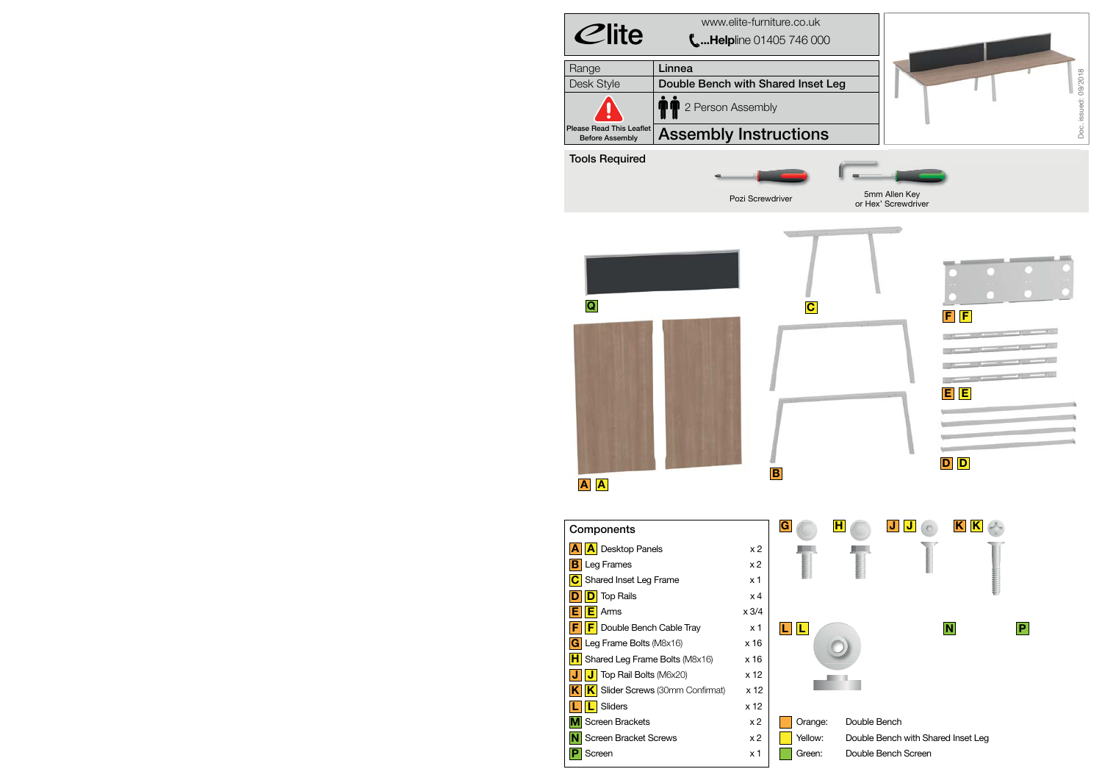